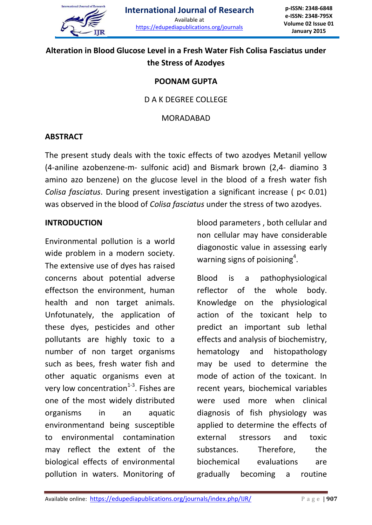

# **Alteration in Blood Glucose Level in a Fresh Water Fish Colisa Fasciatus under the Stress of Azodyes**

#### **POONAM GUPTA**

## D A K DEGREE COLLEGE

#### MORADABAD

## **ABSTRACT**

The present study deals with the toxic effects of two azodyes Metanil yellow (4-aniline azobenzene-m- sulfonic acid) and Bismark brown (2,4- diamino 3 amino azo benzene) on the glucose level in the blood of a fresh water fish *Colisa fasciatus*. During present investigation a significant increase ( p< 0.01) was observed in the blood of *Colisa fasciatus* under the stress of two azodyes.

#### **INTRODUCTION**

Environmental pollution is a world wide problem in a modern society. The extensive use of dyes has raised concerns about potential adverse effectson the environment, human health and non target animals. Unfotunately, the application of these dyes, pesticides and other pollutants are highly toxic to a number of non target organisms such as bees, fresh water fish and other aquatic organisms even at very low concentration $^{1-3}$ . Fishes are one of the most widely distributed organisms in an aquatic environmentand being susceptible to environmental contamination may reflect the extent of the biological effects of environmental pollution in waters. Monitoring of

blood parameters , both cellular and non cellular may have considerable diagonostic value in assessing early warning signs of poisioning<sup>4</sup>.

Blood is a pathophysiological reflector of the whole body. Knowledge on the physiological action of the toxicant help to predict an important sub lethal effects and analysis of biochemistry, hematology and histopathology may be used to determine the mode of action of the toxicant. In recent years, biochemical variables were used more when clinical diagnosis of fish physiology was applied to determine the effects of external stressors and toxic substances. Therefore, the biochemical evaluations are gradually becoming a routine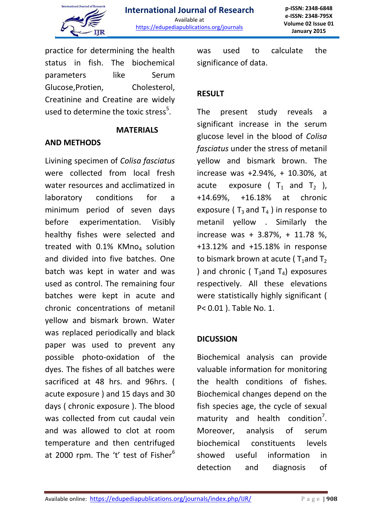

practice for determining the health status in fish. The biochemical parameters like Serum Glucose,Protien, Cholesterol, Creatinine and Creatine are widely used to determine the toxic stress<sup>5</sup>.

## **MATERIALS**

## **AND METHODS**

Livining specimen of *Colisa fasciatus* were collected from local fresh water resources and acclimatized in laboratory conditions for a minimum period of seven days before experimentation. Visibly healthy fishes were selected and treated with  $0.1\%$  KMno<sub>4</sub> solution and divided into five batches. One batch was kept in water and was used as control. The remaining four batches were kept in acute and chronic concentrations of metanil yellow and bismark brown. Water was replaced periodically and black paper was used to prevent any possible photo-oxidation of the dyes. The fishes of all batches were sacrificed at 48 hrs. and 96hrs. ( acute exposure ) and 15 days and 30 days ( chronic exposure ). The blood was collected from cut caudal vein and was allowed to clot at room temperature and then centrifuged at 2000 rpm. The 't' test of Fisher $6$  was used to calculate the significance of data.

# **RESULT**

The present study reveals a significant increase in the serum glucose level in the blood of *Colisa fasciatus* under the stress of metanil yellow and bismark brown. The increase was +2.94%, + 10.30%, at acute exposure ( $T_1$  and  $T_2$  ), +14.69%, +16.18% at chronic exposure ( $T_3$  and  $T_4$ ) in response to metanil yellow . Similarly the increase was + 3.87%, + 11.78 %, +13.12% and +15.18% in response to bismark brown at acute ( $T_1$ and T<sub>2</sub> ) and chronic ( $T_3$ and  $T_4$ ) exposures respectively. All these elevations were statistically highly significant ( P< 0.01 ). Table No. 1.

## **DICUSSION**

Biochemical analysis can provide valuable information for monitoring the health conditions of fishes. Biochemical changes depend on the fish species age, the cycle of sexual maturity and health condition<sup>7</sup>. Moreover, analysis of serum biochemical constituents levels showed useful information in detection and diagnosis of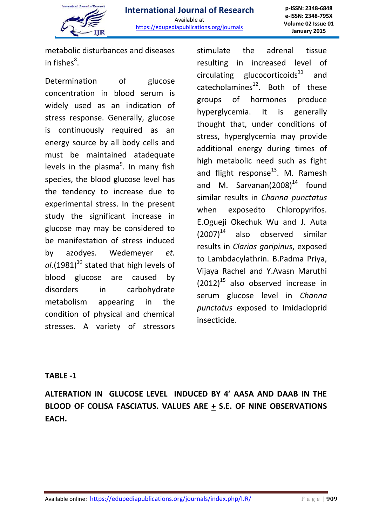

metabolic disturbances and diseases in fishes ${}^{8}$ .

Determination of glucose concentration in blood serum is widely used as an indication of stress response. Generally, glucose is continuously required as an energy source by all body cells and must be maintained atadequate levels in the plasma<sup>9</sup>. In many fish species, the blood glucose level has the tendency to increase due to experimental stress. In the present study the significant increase in glucose may may be considered to be manifestation of stress induced by azodyes. Wedemeyer *et.*   $a$ l.(1981)<sup>10</sup> stated that high levels of blood glucose are caused by disorders in carbohydrate metabolism appearing in the condition of physical and chemical stresses. A variety of stressors

stimulate the adrenal tissue resulting in increased level of circulating glucocorticoids $11$  and catecholamines $^{12}$ . Both of these groups of hormones produce hyperglycemia. It is generally thought that, under conditions of stress, hyperglycemia may provide additional energy during times of high metabolic need such as fight and flight response $^{13}$ . M. Ramesh and M. Sarvanan $(2008)^{14}$  found similar results in *Channa punctatus* when exposedto Chloropyrifos. E.Ogueji Okechuk Wu and J. Auta  $(2007)^{14}$  also observed similar results in *Clarias garipinus*, exposed to Lambdacylathrin. B.Padma Priya, Vijaya Rachel and Y.Avasn Maruthi  $(2012)^{15}$  also observed increase in serum glucose level in *Channa punctatus* exposed to Imidacloprid insecticide.

## **TABLE -1**

**ALTERATION IN GLUCOSE LEVEL INDUCED BY 4' AASA AND DAAB IN THE BLOOD OF COLISA FASCIATUS. VALUES ARE + S.E. OF NINE OBSERVATIONS EACH.**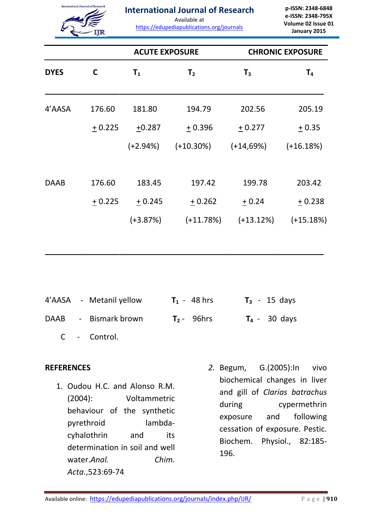

#### **International Journal of Research**

Available at

https://edupediapublications.org/journals

**p-ISSN: 2348-6848 e-ISSN: 2348-795X Volume 02 Issue 01 January 2015**

|             |          | <b>ACUTE EXPOSURE</b> |                | <b>CHRONIC EXPOSURE</b> |                |  |
|-------------|----------|-----------------------|----------------|-------------------------|----------------|--|
| <b>DYES</b> | C        | $T_{1}$               | T <sub>2</sub> | $T_3$                   | T <sub>4</sub> |  |
| 4'AASA      | 176.60   | 181.80                | 194.79         | 202.56                  | 205.19         |  |
|             | $+0.225$ | $+0.287$              | $+0.396$       | $+0.277$                | $+0.35$        |  |
|             |          | $(+2.94%)$            | $(+10.30\%)$   | $(+14,69%)$             | $(+16.18%)$    |  |
| <b>DAAB</b> | 176.60   | 183.45                | 197.42         | 199.78                  | 203.42         |  |
|             | $+0.225$ | $+0.245$              | $+0.262$       | $+0.24$                 | $+0.238$       |  |
|             |          | $(+3.87%)$            | $(+11.78%)$    | $(+13.12%)$             | $(+15.18%)$    |  |

**\_\_\_\_\_\_\_\_\_\_\_\_\_\_\_\_\_\_\_\_\_\_\_\_\_\_\_\_\_\_\_\_\_\_\_\_\_\_\_\_\_\_\_\_\_\_\_\_\_\_\_\_\_\_\_\_\_\_\_\_\_\_\_\_**

|  | 4'AASA - Metanil yellow | $T_1 - 48$ hrs |  | $T_3$ - 15 days |
|--|-------------------------|----------------|--|-----------------|
|  | DAAB - Bismark brown    | $T2$ 96hrs     |  | $T_4 - 30$ days |
|  | C - Control.            |                |  |                 |

#### **REFERENCES**

- 1. Oudou H.C. and Alonso R.M. (2004): Voltammetric behaviour of the synthetic pyrethroid lambdacyhalothrin and its determination in soil and well water.*Anal. Chim. Acta*.,523:69-74
- *2.* Begum, G.(2005):In vivo biochemical changes in liver and gill of *Clarias batrachus* during cypermethrin exposure and following cessation of exposure. Pestic. Biochem. Physiol., 82:185- 196.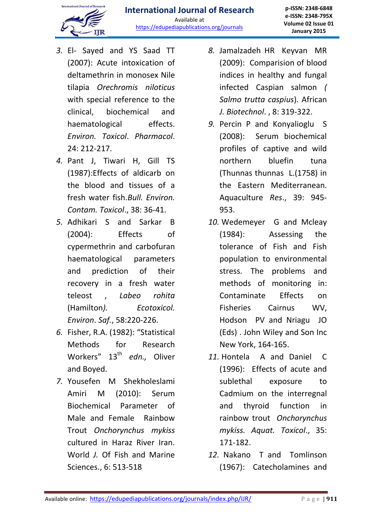# International Journal of Re-

- *3.* El- Sayed and YS Saad TT (2007): Acute intoxication of deltamethrin in monosex Nile tilapia *Orechromis niloticus* with special reference to the clinical, biochemical and haematological effects. *Environ. Toxicol*. *Pharmacol*. 24: 212-217.
- *4.* Pant J, Tiwari H, Gill TS (1987):Effects of aldicarb on the blood and tissues of a fresh water fish.*Bull. Environ. Contam. Toxicol*., 38: 36-41.
- *5.* Adhikari S and Sarkar B (2004): Effects of cypermethrin and carbofuran haematological parameters and prediction of their recovery in a fresh water teleost , *Labeo rohita* (Hamilton*). Ecotoxicol. Environ*. *Saf.*, 58:220-226.
- *6.* Fisher, R.A. (1982): "Statistical Methods for Research Workers" 13<sup>th</sup> edn., Oliver and Boyed.
- *7.* Yousefen M Shekholeslami Amiri M (2010): Serum Biochemical Parameter of Male and Female Rainbow Trout *Onchorynchus mykiss* cultured in Haraz River Iran. World *J.* Of Fish and Marine Sciences., 6: 513-518
- *8.* Jamalzadeh HR Keyvan MR (2009): Comparision of blood indices in healthy and fungal infected Caspian salmon *( Salmo trutta caspius*). African *J. Biotechnol*. , 8: 319-322.
- *9.* Percin P and Konyalioglu S (2008): Serum biochemical profiles of captive and wild northern bluefin tuna (Thunnas thunnas L.(1758) in the Eastern Mediterranean. Aquaculture *Res*., 39: 945- 953.
- *10.* Wedemeyer G and Mcleay (1984): Assessing the tolerance of Fish and Fish population to environmental stress. The problems and methods of monitoring in: Contaminate Effects on Fisheries Cairnus WV, Hodson PV and Nriagu JO (Eds) . John Wiley and Son Inc New York, 164-165.
- *11.* Hontela A and Daniel C (1996): Effects of acute and sublethal exposure to Cadmium on the interregnal and thyroid function in rainbow trout *Onchorynchus mykiss. Aquat. Toxicol*., 35: 171-182.
- *12.* Nakano T and Tomlinson (1967): Catecholamines and